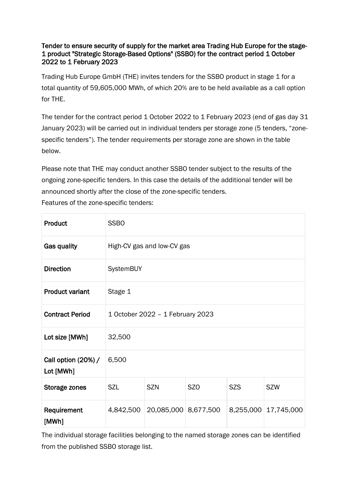## Tender to ensure security of supply for the market area Trading Hub Europe for the stage-1 product "Strategic Storage-Based Options" (SSBO) for the contract period 1 October 2022 to 1 February 2023

Trading Hub Europe GmbH (THE) invites tenders for the SSBO product in stage 1 for a total quantity of 59,605,000 MWh, of which 20% are to be held available as a call option for THE.

The tender for the contract period 1 October 2022 to 1 February 2023 (end of gas day 31 January 2023) will be carried out in individual tenders per storage zone (5 tenders, "zonespecific tenders"). The tender requirements per storage zone are shown in the table below.

Please note that THE may conduct another SSBO tender subject to the results of the ongoing zone-specific tenders. In this case the details of the additional tender will be announced shortly after the close of the zone-specific tenders. Features of the zone-specific tenders:

| Product                          | <b>SSBO</b>                      |                      |                 |            |                      |
|----------------------------------|----------------------------------|----------------------|-----------------|------------|----------------------|
| Gas quality                      | High-CV gas and low-CV gas       |                      |                 |            |                      |
| <b>Direction</b>                 | SystemBUY                        |                      |                 |            |                      |
| <b>Product variant</b>           | Stage 1                          |                      |                 |            |                      |
| <b>Contract Period</b>           | 1 October 2022 - 1 February 2023 |                      |                 |            |                      |
| Lot size [MWh]                   | 32,500                           |                      |                 |            |                      |
| Call option (20%) /<br>Lot [MWh] | 6,500                            |                      |                 |            |                      |
| Storage zones                    | SZL                              | <b>SZN</b>           | SZ <sub>O</sub> | <b>SZS</b> | <b>SZW</b>           |
| Requirement<br>[MWh]             | 4,842,500                        | 20,085,000 8,677,500 |                 |            | 8,255,000 17,745,000 |

The individual storage facilities belonging to the named storage zones can be identified from the published SSBO storage list.